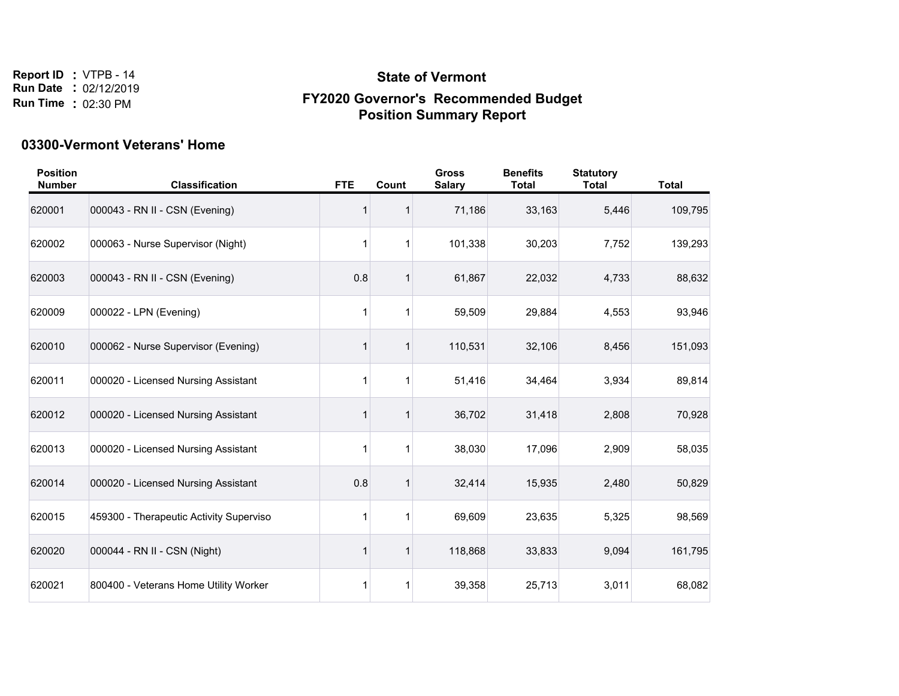# **State of Vermont FY2020 Governor's Recommended Budget Position Summary Report**

#### **03300-Vermont Veterans' Home**

| <b>Position</b><br><b>Number</b> | <b>Classification</b>                   | <b>FTE</b>   | Count | <b>Gross</b><br><b>Salary</b> | <b>Benefits</b><br><b>Total</b> | <b>Statutory</b><br><b>Total</b> | <b>Total</b> |
|----------------------------------|-----------------------------------------|--------------|-------|-------------------------------|---------------------------------|----------------------------------|--------------|
| 620001                           | 000043 - RN II - CSN (Evening)          |              |       | 71,186                        | 33,163                          | 5,446                            | 109,795      |
| 620002                           | 000063 - Nurse Supervisor (Night)       | 1            |       | 101,338                       | 30,203                          | 7,752                            | 139,293      |
| 620003                           | 000043 - RN II - CSN (Evening)          | 0.8          |       | 61,867                        | 22,032                          | 4,733                            | 88,632       |
| 620009                           | 000022 - LPN (Evening)                  | $\mathbf{1}$ | 1     | 59,509                        | 29,884                          | 4,553                            | 93,946       |
| 620010                           | 000062 - Nurse Supervisor (Evening)     |              |       | 110,531                       | 32,106                          | 8,456                            | 151,093      |
| 620011                           | 000020 - Licensed Nursing Assistant     | 1            |       | 51,416                        | 34,464                          | 3,934                            | 89,814       |
| 620012                           | 000020 - Licensed Nursing Assistant     |              |       | 36,702                        | 31,418                          | 2,808                            | 70,928       |
| 620013                           | 000020 - Licensed Nursing Assistant     | 1            |       | 38,030                        | 17,096                          | 2,909                            | 58,035       |
| 620014                           | 000020 - Licensed Nursing Assistant     | 0.8          |       | 32,414                        | 15,935                          | 2,480                            | 50,829       |
| 620015                           | 459300 - Therapeutic Activity Superviso | 1            |       | 69,609                        | 23,635                          | 5,325                            | 98,569       |
| 620020                           | 000044 - RN II - CSN (Night)            |              |       | 118,868                       | 33,833                          | 9,094                            | 161,795      |
| 620021                           | 800400 - Veterans Home Utility Worker   | 1            | 1     | 39,358                        | 25,713                          | 3,011                            | 68,082       |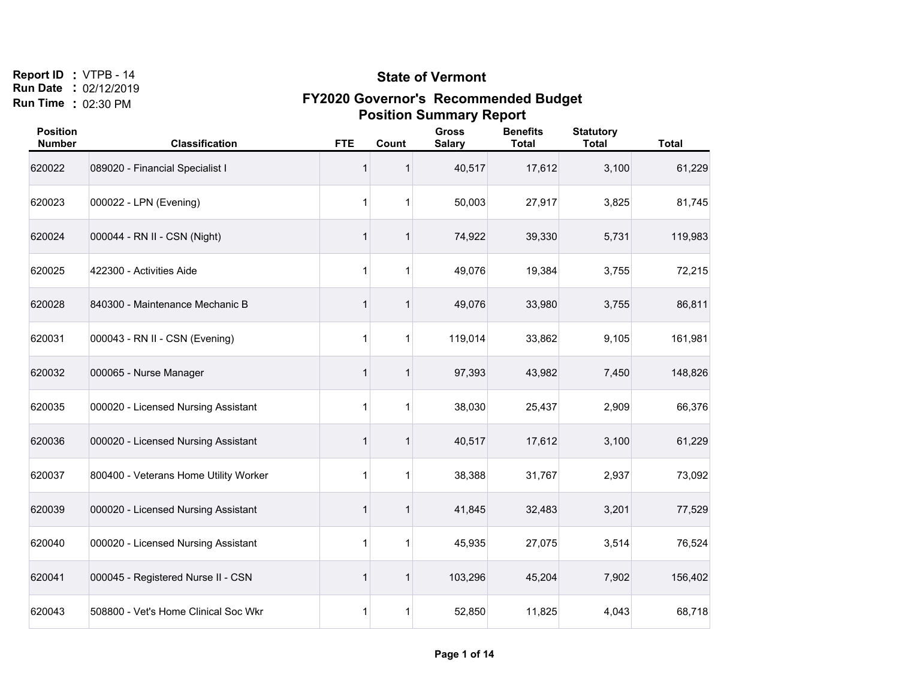#### **State of Vermont**

| <b>Position</b><br><b>Number</b> | <b>Classification</b>                 | <b>FTE</b> | Count       | <b>Gross</b><br><b>Salary</b> | <b>Benefits</b><br><b>Total</b> | <b>Statutory</b><br><b>Total</b> | <b>Total</b> |
|----------------------------------|---------------------------------------|------------|-------------|-------------------------------|---------------------------------|----------------------------------|--------------|
| 620022                           | 089020 - Financial Specialist I       | 1          |             | 40,517                        | 17,612                          | 3,100                            | 61,229       |
| 620023                           | 000022 - LPN (Evening)                | 1          | 1           | 50,003                        | 27,917                          | 3,825                            | 81,745       |
| 620024                           | 000044 - RN II - CSN (Night)          | 1          |             | 74,922                        | 39,330                          | 5,731                            | 119,983      |
| 620025                           | 422300 - Activities Aide              | 1          | 1           | 49,076                        | 19,384                          | 3,755                            | 72,215       |
| 620028                           | 840300 - Maintenance Mechanic B       | 1          |             | 49,076                        | 33,980                          | 3,755                            | 86,811       |
| 620031                           | 000043 - RN II - CSN (Evening)        | 1          | 1           | 119,014                       | 33,862                          | 9,105                            | 161,981      |
| 620032                           | 000065 - Nurse Manager                | 1          | $\mathbf 1$ | 97,393                        | 43,982                          | 7,450                            | 148,826      |
| 620035                           | 000020 - Licensed Nursing Assistant   | 1          | 1           | 38,030                        | 25,437                          | 2,909                            | 66,376       |
| 620036                           | 000020 - Licensed Nursing Assistant   | 1          | 1           | 40,517                        | 17,612                          | 3,100                            | 61,229       |
| 620037                           | 800400 - Veterans Home Utility Worker | 1          | 1           | 38,388                        | 31,767                          | 2,937                            | 73,092       |
| 620039                           | 000020 - Licensed Nursing Assistant   | 1          |             | 41,845                        | 32,483                          | 3,201                            | 77,529       |
| 620040                           | 000020 - Licensed Nursing Assistant   | 1          | 1           | 45,935                        | 27,075                          | 3,514                            | 76,524       |
| 620041                           | 000045 - Registered Nurse II - CSN    | 1          | 1           | 103,296                       | 45,204                          | 7,902                            | 156,402      |
| 620043                           | 508800 - Vet's Home Clinical Soc Wkr  | 1          | 1           | 52,850                        | 11,825                          | 4,043                            | 68,718       |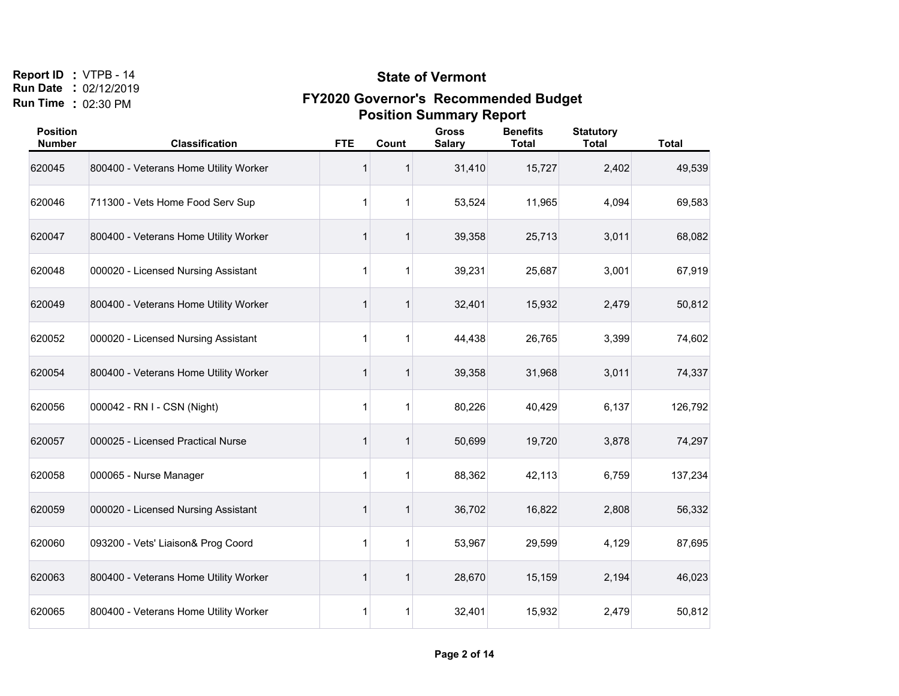#### **State of Vermont**

| <b>Position</b><br><b>Number</b> | <b>Classification</b>                 | <b>FTE</b>   | Count       | <b>Gross</b><br><b>Salary</b> | <b>Benefits</b><br><b>Total</b> | <b>Statutory</b><br><b>Total</b> | <b>Total</b> |
|----------------------------------|---------------------------------------|--------------|-------------|-------------------------------|---------------------------------|----------------------------------|--------------|
| 620045                           | 800400 - Veterans Home Utility Worker | 1            |             | 31,410                        | 15,727                          | 2,402                            | 49,539       |
| 620046                           | 711300 - Vets Home Food Serv Sup      | $\mathbf{1}$ |             | 53,524                        | 11,965                          | 4,094                            | 69,583       |
| 620047                           | 800400 - Veterans Home Utility Worker | 1            |             | 39,358                        | 25,713                          | 3,011                            | 68,082       |
| 620048                           | 000020 - Licensed Nursing Assistant   | 1            |             | 39,231                        | 25,687                          | 3,001                            | 67,919       |
| 620049                           | 800400 - Veterans Home Utility Worker | 1            |             | 32,401                        | 15,932                          | 2,479                            | 50,812       |
| 620052                           | 000020 - Licensed Nursing Assistant   | 1            |             | 44,438                        | 26,765                          | 3,399                            | 74,602       |
| 620054                           | 800400 - Veterans Home Utility Worker | 1            |             | 39,358                        | 31,968                          | 3,011                            | 74,337       |
| 620056                           | 000042 - RN I - CSN (Night)           | $\mathbf{1}$ | 1           | 80,226                        | 40,429                          | 6,137                            | 126,792      |
| 620057                           | 000025 - Licensed Practical Nurse     | 1            | 1           | 50,699                        | 19,720                          | 3,878                            | 74,297       |
| 620058                           | 000065 - Nurse Manager                | 1            | $\mathbf 1$ | 88,362                        | 42,113                          | 6,759                            | 137,234      |
| 620059                           | 000020 - Licensed Nursing Assistant   | 1            |             | 36,702                        | 16,822                          | 2,808                            | 56,332       |
| 620060                           | 093200 - Vets' Liaison& Prog Coord    | 1            |             | 53,967                        | 29,599                          | 4,129                            | 87,695       |
| 620063                           | 800400 - Veterans Home Utility Worker | 1            |             | 28,670                        | 15,159                          | 2,194                            | 46,023       |
| 620065                           | 800400 - Veterans Home Utility Worker | 1            | 1           | 32,401                        | 15,932                          | 2,479                            | 50,812       |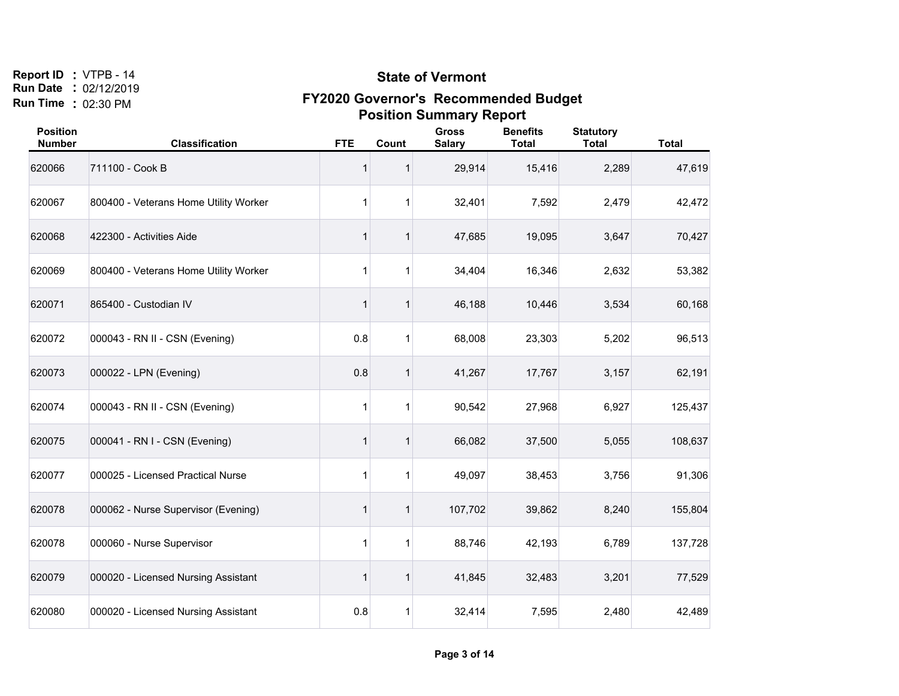#### **State of Vermont**

| <b>Position</b><br><b>Number</b> | <b>Classification</b>                 | <b>FTE</b> | Count        | <b>Gross</b><br><b>Salary</b> | <b>Benefits</b><br><b>Total</b> | <b>Statutory</b><br><b>Total</b> | <b>Total</b> |
|----------------------------------|---------------------------------------|------------|--------------|-------------------------------|---------------------------------|----------------------------------|--------------|
| 620066                           | 711100 - Cook B                       | 1          |              | 29,914                        | 15,416                          | 2,289                            | 47,619       |
| 620067                           | 800400 - Veterans Home Utility Worker | 1          | 1            | 32,401                        | 7,592                           | 2,479                            | 42,472       |
| 620068                           | 422300 - Activities Aide              | 1          | 1            | 47,685                        | 19,095                          | 3,647                            | 70,427       |
| 620069                           | 800400 - Veterans Home Utility Worker | 1          | 1            | 34,404                        | 16,346                          | 2,632                            | 53,382       |
| 620071                           | 865400 - Custodian IV                 | 1          | 1            | 46,188                        | 10,446                          | 3,534                            | 60,168       |
| 620072                           | 000043 - RN II - CSN (Evening)        | 0.8        | 1            | 68,008                        | 23,303                          | 5,202                            | 96,513       |
| 620073                           | 000022 - LPN (Evening)                | 0.8        | $\mathbf{1}$ | 41,267                        | 17,767                          | 3,157                            | 62,191       |
| 620074                           | 000043 - RN II - CSN (Evening)        | 1          | 1            | 90,542                        | 27,968                          | 6,927                            | 125,437      |
| 620075                           | 000041 - RN I - CSN (Evening)         | 1          | $\mathbf{1}$ | 66,082                        | 37,500                          | 5,055                            | 108,637      |
| 620077                           | 000025 - Licensed Practical Nurse     | 1          | 1            | 49,097                        | 38,453                          | 3,756                            | 91,306       |
| 620078                           | 000062 - Nurse Supervisor (Evening)   | 1          | 1            | 107,702                       | 39,862                          | 8,240                            | 155,804      |
| 620078                           | 000060 - Nurse Supervisor             | 1          | $\mathbf 1$  | 88,746                        | 42,193                          | 6,789                            | 137,728      |
| 620079                           | 000020 - Licensed Nursing Assistant   | 1          | 1            | 41,845                        | 32,483                          | 3,201                            | 77,529       |
| 620080                           | 000020 - Licensed Nursing Assistant   | 0.8        | 1            | 32,414                        | 7,595                           | 2,480                            | 42,489       |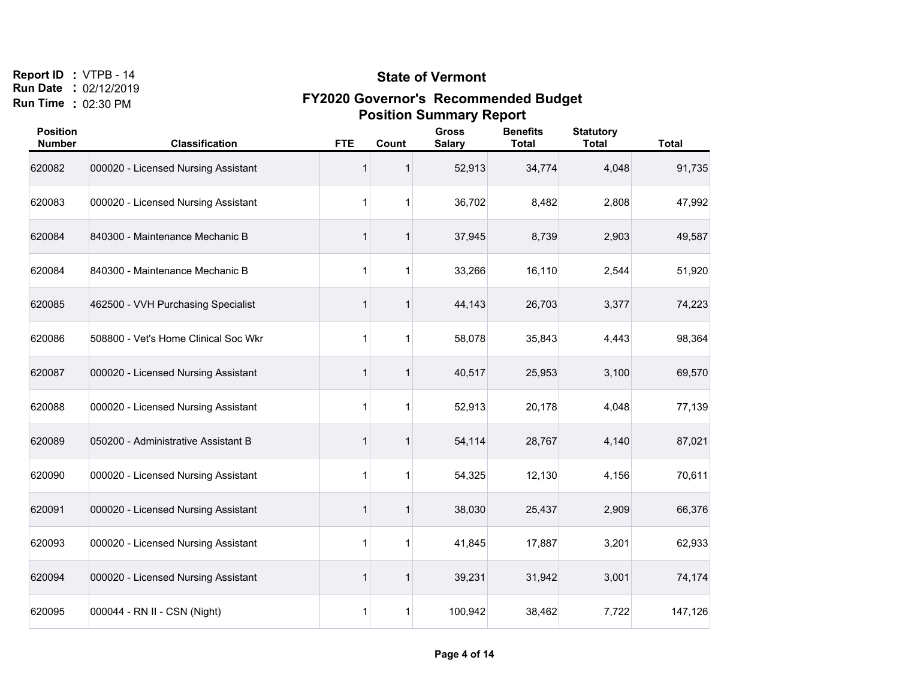#### **State of Vermont**

| <b>Position</b><br><b>Number</b> | <b>Classification</b>                | <b>FTE</b>   | Count | <b>Gross</b><br><b>Salary</b> | <b>Benefits</b><br><b>Total</b> | <b>Statutory</b><br><b>Total</b> | <b>Total</b> |
|----------------------------------|--------------------------------------|--------------|-------|-------------------------------|---------------------------------|----------------------------------|--------------|
| 620082                           | 000020 - Licensed Nursing Assistant  | 1            |       | 52,913                        | 34,774                          | 4,048                            | 91,735       |
| 620083                           | 000020 - Licensed Nursing Assistant  | $\mathbf{1}$ |       | 36,702                        | 8,482                           | 2,808                            | 47,992       |
| 620084                           | 840300 - Maintenance Mechanic B      | 1            |       | 37,945                        | 8,739                           | 2,903                            | 49,587       |
| 620084                           | 840300 - Maintenance Mechanic B      | 1            |       | 33,266                        | 16,110                          | 2,544                            | 51,920       |
| 620085                           | 462500 - VVH Purchasing Specialist   | 1            |       | 44,143                        | 26,703                          | 3,377                            | 74,223       |
| 620086                           | 508800 - Vet's Home Clinical Soc Wkr | 1            |       | 58,078                        | 35,843                          | 4,443                            | 98,364       |
| 620087                           | 000020 - Licensed Nursing Assistant  | 1            |       | 40,517                        | 25,953                          | 3,100                            | 69,570       |
| 620088                           | 000020 - Licensed Nursing Assistant  | $\mathbf{1}$ | 1     | 52,913                        | 20,178                          | 4,048                            | 77,139       |
| 620089                           | 050200 - Administrative Assistant B  | 1            | 1     | 54,114                        | 28,767                          | 4,140                            | 87,021       |
| 620090                           | 000020 - Licensed Nursing Assistant  | 1            | -1    | 54,325                        | 12,130                          | 4,156                            | 70,611       |
| 620091                           | 000020 - Licensed Nursing Assistant  | 1            |       | 38,030                        | 25,437                          | 2,909                            | 66,376       |
| 620093                           | 000020 - Licensed Nursing Assistant  | 1            |       | 41,845                        | 17,887                          | 3,201                            | 62,933       |
| 620094                           | 000020 - Licensed Nursing Assistant  | 1            |       | 39,231                        | 31,942                          | 3,001                            | 74,174       |
| 620095                           | 000044 - RN II - CSN (Night)         | 1            | 1     | 100,942                       | 38,462                          | 7,722                            | 147,126      |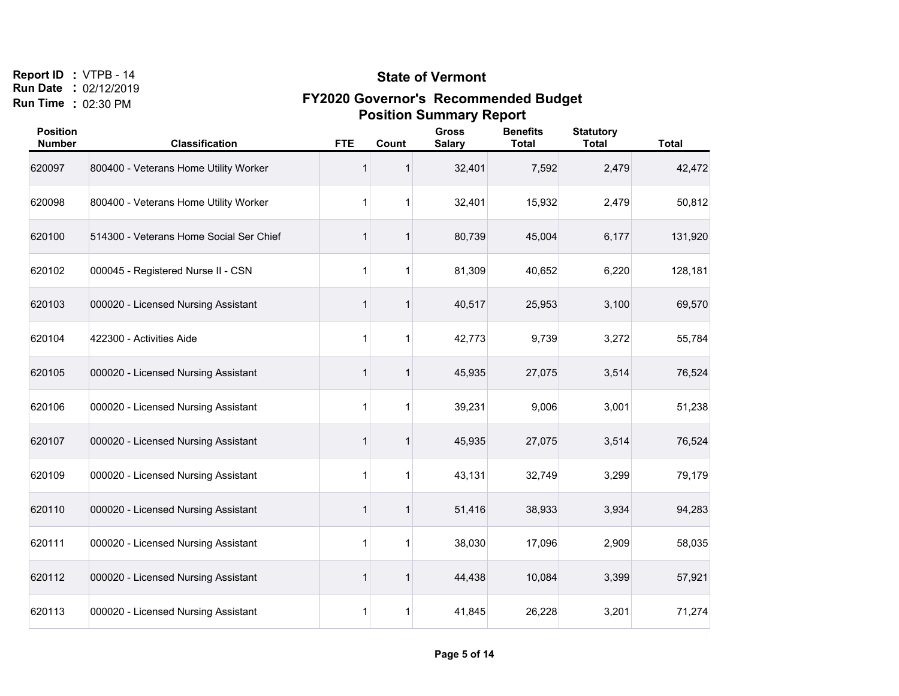#### **State of Vermont**

| <b>Position</b><br><b>Number</b> | <b>Classification</b>                   | <b>FTE</b>   | Count       | <b>Gross</b><br><b>Salary</b> | <b>Benefits</b><br><b>Total</b> | <b>Statutory</b><br><b>Total</b> | <b>Total</b> |
|----------------------------------|-----------------------------------------|--------------|-------------|-------------------------------|---------------------------------|----------------------------------|--------------|
| 620097                           | 800400 - Veterans Home Utility Worker   | 1            |             | 32,401                        | 7,592                           | 2,479                            | 42,472       |
| 620098                           | 800400 - Veterans Home Utility Worker   | 1            |             | 32,401                        | 15,932                          | 2,479                            | 50,812       |
| 620100                           | 514300 - Veterans Home Social Ser Chief | 1            |             | 80,739                        | 45,004                          | 6,177                            | 131,920      |
| 620102                           | 000045 - Registered Nurse II - CSN      | 1            |             | 81,309                        | 40,652                          | 6,220                            | 128,181      |
| 620103                           | 000020 - Licensed Nursing Assistant     | 1            |             | 40,517                        | 25,953                          | 3,100                            | 69,570       |
| 620104                           | 422300 - Activities Aide                | 1            |             | 42,773                        | 9,739                           | 3,272                            | 55,784       |
| 620105                           | 000020 - Licensed Nursing Assistant     | 1            | 1           | 45,935                        | 27,075                          | 3,514                            | 76,524       |
| 620106                           | 000020 - Licensed Nursing Assistant     | $\mathbf{1}$ | 1           | 39,231                        | 9,006                           | 3,001                            | 51,238       |
| 620107                           | 000020 - Licensed Nursing Assistant     | 1            | 1           | 45,935                        | 27,075                          | 3,514                            | 76,524       |
| 620109                           | 000020 - Licensed Nursing Assistant     | 1            | $\mathbf 1$ | 43,131                        | 32,749                          | 3,299                            | 79,179       |
| 620110                           | 000020 - Licensed Nursing Assistant     | 1            |             | 51,416                        | 38,933                          | 3,934                            | 94,283       |
| 620111                           | 000020 - Licensed Nursing Assistant     | 1            |             | 38,030                        | 17,096                          | 2,909                            | 58,035       |
| 620112                           | 000020 - Licensed Nursing Assistant     | 1            |             | 44,438                        | 10,084                          | 3,399                            | 57,921       |
| 620113                           | 000020 - Licensed Nursing Assistant     | 1            | 1           | 41,845                        | 26,228                          | 3,201                            | 71,274       |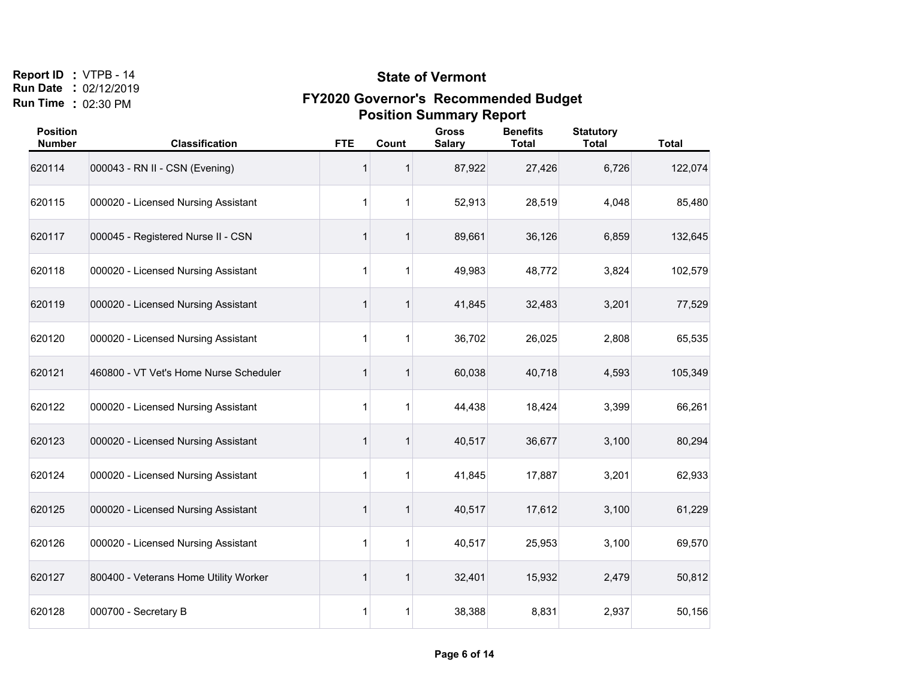#### **State of Vermont**

| <b>Position</b><br><b>Number</b> | <b>Classification</b>                  | <b>FTE</b>   | Count       | <b>Gross</b><br><b>Salary</b> | <b>Benefits</b><br><b>Total</b> | <b>Statutory</b><br><b>Total</b> | <b>Total</b> |
|----------------------------------|----------------------------------------|--------------|-------------|-------------------------------|---------------------------------|----------------------------------|--------------|
| 620114                           | 000043 - RN II - CSN (Evening)         | 1            |             | 87,922                        | 27,426                          | 6,726                            | 122,074      |
| 620115                           | 000020 - Licensed Nursing Assistant    | 1            |             | 52,913                        | 28,519                          | 4,048                            | 85,480       |
| 620117                           | 000045 - Registered Nurse II - CSN     | 1            | 1           | 89,661                        | 36,126                          | 6,859                            | 132,645      |
| 620118                           | 000020 - Licensed Nursing Assistant    | 1            |             | 49,983                        | 48,772                          | 3,824                            | 102,579      |
| 620119                           | 000020 - Licensed Nursing Assistant    | 1            |             | 41,845                        | 32,483                          | 3,201                            | 77,529       |
| 620120                           | 000020 - Licensed Nursing Assistant    | 1            |             | 36,702                        | 26,025                          | 2,808                            | 65,535       |
| 620121                           | 460800 - VT Vet's Home Nurse Scheduler | $\mathbf{1}$ |             | 60,038                        | 40,718                          | 4,593                            | 105,349      |
| 620122                           | 000020 - Licensed Nursing Assistant    | 1            | $\mathbf 1$ | 44,438                        | 18,424                          | 3,399                            | 66,261       |
| 620123                           | 000020 - Licensed Nursing Assistant    | 1            | 1           | 40,517                        | 36,677                          | 3,100                            | 80,294       |
| 620124                           | 000020 - Licensed Nursing Assistant    | 1            | 1           | 41,845                        | 17,887                          | 3,201                            | 62,933       |
| 620125                           | 000020 - Licensed Nursing Assistant    | 1            |             | 40,517                        | 17,612                          | 3,100                            | 61,229       |
| 620126                           | 000020 - Licensed Nursing Assistant    | 1            |             | 40,517                        | 25,953                          | 3,100                            | 69,570       |
| 620127                           | 800400 - Veterans Home Utility Worker  | 1            | 1           | 32,401                        | 15,932                          | 2,479                            | 50,812       |
| 620128                           | 000700 - Secretary B                   | 1            | 1           | 38,388                        | 8,831                           | 2,937                            | 50,156       |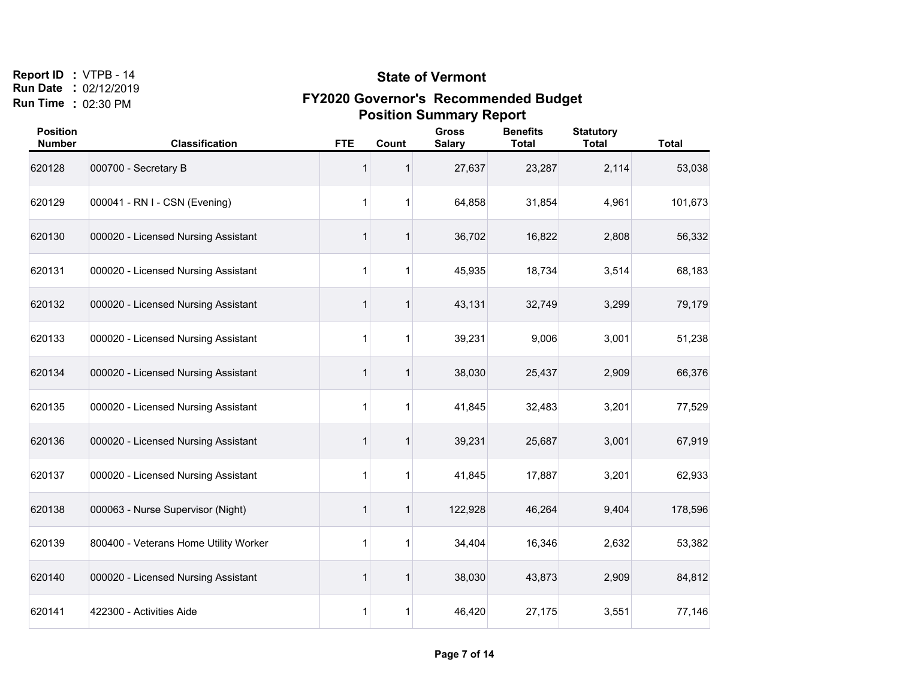#### **State of Vermont**

| <b>Position</b><br><b>Number</b> | <b>Classification</b>                 | <b>FTE</b> | Count       | <b>Gross</b><br><b>Salary</b> | <b>Benefits</b><br><b>Total</b> | <b>Statutory</b><br><b>Total</b> | <b>Total</b> |
|----------------------------------|---------------------------------------|------------|-------------|-------------------------------|---------------------------------|----------------------------------|--------------|
| 620128                           | 000700 - Secretary B                  | 1          | 1           | 27,637                        | 23,287                          | 2,114                            | 53,038       |
| 620129                           | 000041 - RN I - CSN (Evening)         | 1          | 1           | 64,858                        | 31,854                          | 4,961                            | 101,673      |
| 620130                           | 000020 - Licensed Nursing Assistant   | 1          | $\mathbf 1$ | 36,702                        | 16,822                          | 2,808                            | 56,332       |
| 620131                           | 000020 - Licensed Nursing Assistant   | 1          | 1           | 45,935                        | 18,734                          | 3,514                            | 68,183       |
| 620132                           | 000020 - Licensed Nursing Assistant   | 1          | 1           | 43,131                        | 32,749                          | 3,299                            | 79,179       |
| 620133                           | 000020 - Licensed Nursing Assistant   | 1          | 1           | 39,231                        | 9,006                           | 3,001                            | 51,238       |
| 620134                           | 000020 - Licensed Nursing Assistant   | 1          | $\mathbf 1$ | 38,030                        | 25,437                          | 2,909                            | 66,376       |
| 620135                           | 000020 - Licensed Nursing Assistant   | 1          | 1           | 41,845                        | 32,483                          | 3,201                            | 77,529       |
| 620136                           | 000020 - Licensed Nursing Assistant   | 1          | $\mathbf 1$ | 39,231                        | 25,687                          | 3,001                            | 67,919       |
| 620137                           | 000020 - Licensed Nursing Assistant   | 1          | 1           | 41,845                        | 17,887                          | 3,201                            | 62,933       |
| 620138                           | 000063 - Nurse Supervisor (Night)     | 1          | 1           | 122,928                       | 46,264                          | 9,404                            | 178,596      |
| 620139                           | 800400 - Veterans Home Utility Worker | 1          | 1           | 34,404                        | 16,346                          | 2,632                            | 53,382       |
| 620140                           | 000020 - Licensed Nursing Assistant   | 1          | 1           | 38,030                        | 43,873                          | 2,909                            | 84,812       |
| 620141                           | 422300 - Activities Aide              | 1          | 1           | 46,420                        | 27,175                          | 3,551                            | 77,146       |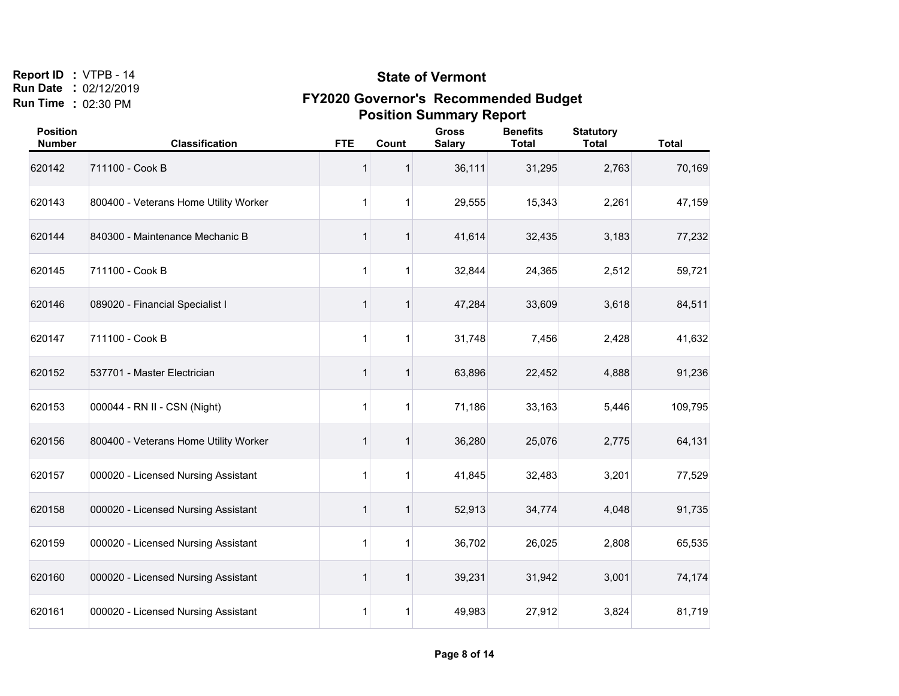#### **State of Vermont**

| <b>Position</b><br><b>Number</b> | <b>Classification</b>                 | <b>FTE</b>   | Count       | <b>Gross</b><br><b>Salary</b> | <b>Benefits</b><br><b>Total</b> | <b>Statutory</b><br><b>Total</b> | <b>Total</b> |
|----------------------------------|---------------------------------------|--------------|-------------|-------------------------------|---------------------------------|----------------------------------|--------------|
| 620142                           | 711100 - Cook B                       | 1            |             | 36,111                        | 31,295                          | 2,763                            | 70,169       |
| 620143                           | 800400 - Veterans Home Utility Worker | 1            |             | 29,555                        | 15,343                          | 2,261                            | 47,159       |
| 620144                           | 840300 - Maintenance Mechanic B       | 1            |             | 41,614                        | 32,435                          | 3,183                            | 77,232       |
| 620145                           | 711100 - Cook B                       | 1            |             | 32,844                        | 24,365                          | 2,512                            | 59,721       |
| 620146                           | 089020 - Financial Specialist I       | 1            |             | 47,284                        | 33,609                          | 3,618                            | 84,511       |
| 620147                           | 711100 - Cook B                       | 1            |             | 31,748                        | 7,456                           | 2,428                            | 41,632       |
| 620152                           | 537701 - Master Electrician           | $\mathbf{1}$ | 1           | 63,896                        | 22,452                          | 4,888                            | 91,236       |
| 620153                           | 000044 - RN II - CSN (Night)          | $\mathbf{1}$ | 1           | 71,186                        | 33,163                          | 5,446                            | 109,795      |
| 620156                           | 800400 - Veterans Home Utility Worker | 1            | 1           | 36,280                        | 25,076                          | 2,775                            | 64,131       |
| 620157                           | 000020 - Licensed Nursing Assistant   | $\mathbf{1}$ | $\mathbf 1$ | 41,845                        | 32,483                          | 3,201                            | 77,529       |
| 620158                           | 000020 - Licensed Nursing Assistant   | 1            |             | 52,913                        | 34,774                          | 4,048                            | 91,735       |
| 620159                           | 000020 - Licensed Nursing Assistant   | 1            |             | 36,702                        | 26,025                          | 2,808                            | 65,535       |
| 620160                           | 000020 - Licensed Nursing Assistant   | 1            |             | 39,231                        | 31,942                          | 3,001                            | 74,174       |
| 620161                           | 000020 - Licensed Nursing Assistant   | 1            | 1           | 49,983                        | 27,912                          | 3,824                            | 81,719       |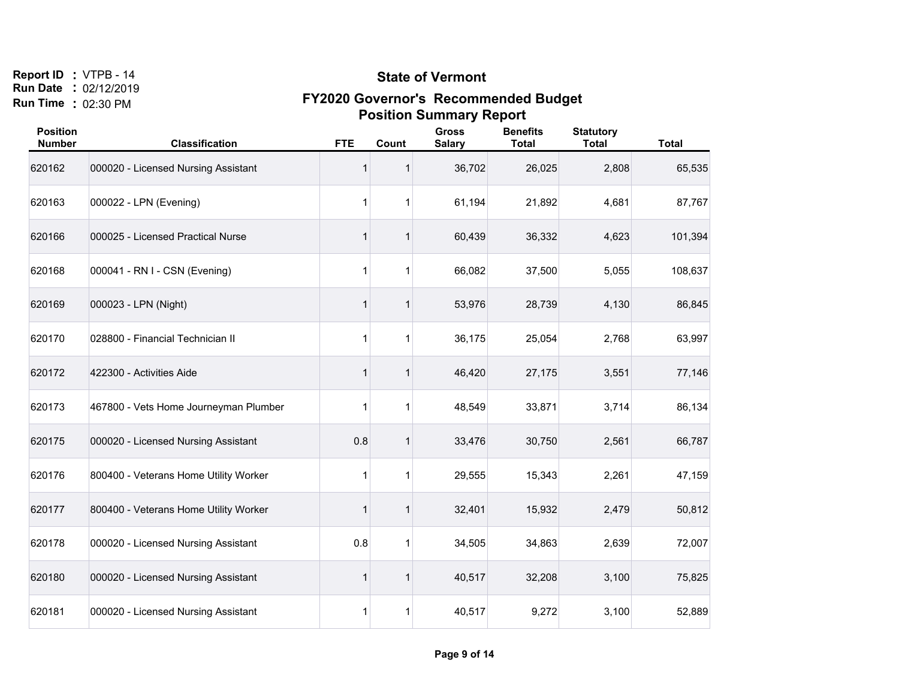#### **State of Vermont**

| <b>Position</b><br><b>Number</b> | <b>Classification</b>                 | <b>FTE</b>   | Count       | <b>Gross</b><br><b>Salary</b> | <b>Benefits</b><br><b>Total</b> | <b>Statutory</b><br><b>Total</b> | <b>Total</b> |
|----------------------------------|---------------------------------------|--------------|-------------|-------------------------------|---------------------------------|----------------------------------|--------------|
| 620162                           | 000020 - Licensed Nursing Assistant   | 1            |             | 36,702                        | 26,025                          | 2,808                            | 65,535       |
| 620163                           | 000022 - LPN (Evening)                | $\mathbf{1}$ |             | 61,194                        | 21,892                          | 4,681                            | 87,767       |
| 620166                           | 000025 - Licensed Practical Nurse     | 1            |             | 60,439                        | 36,332                          | 4,623                            | 101,394      |
| 620168                           | 000041 - RN I - CSN (Evening)         | 1            |             | 66,082                        | 37,500                          | 5,055                            | 108,637      |
| 620169                           | 000023 - LPN (Night)                  | 1            |             | 53,976                        | 28,739                          | 4,130                            | 86,845       |
| 620170                           | 028800 - Financial Technician II      | 1            |             | 36,175                        | 25,054                          | 2,768                            | 63,997       |
| 620172                           | 422300 - Activities Aide              | 1            |             | 46,420                        | 27,175                          | 3,551                            | 77,146       |
| 620173                           | 467800 - Vets Home Journeyman Plumber | 1            | 1           | 48,549                        | 33,871                          | 3,714                            | 86,134       |
| 620175                           | 000020 - Licensed Nursing Assistant   | 0.8          | 1           | 33,476                        | 30,750                          | 2,561                            | 66,787       |
| 620176                           | 800400 - Veterans Home Utility Worker | 1            | $\mathbf 1$ | 29,555                        | 15,343                          | 2,261                            | 47,159       |
| 620177                           | 800400 - Veterans Home Utility Worker | 1            |             | 32,401                        | 15,932                          | 2,479                            | 50,812       |
| 620178                           | 000020 - Licensed Nursing Assistant   | 0.8          |             | 34,505                        | 34,863                          | 2,639                            | 72,007       |
| 620180                           | 000020 - Licensed Nursing Assistant   | 1            |             | 40,517                        | 32,208                          | 3,100                            | 75,825       |
| 620181                           | 000020 - Licensed Nursing Assistant   | 1            | 1           | 40,517                        | 9,272                           | 3,100                            | 52,889       |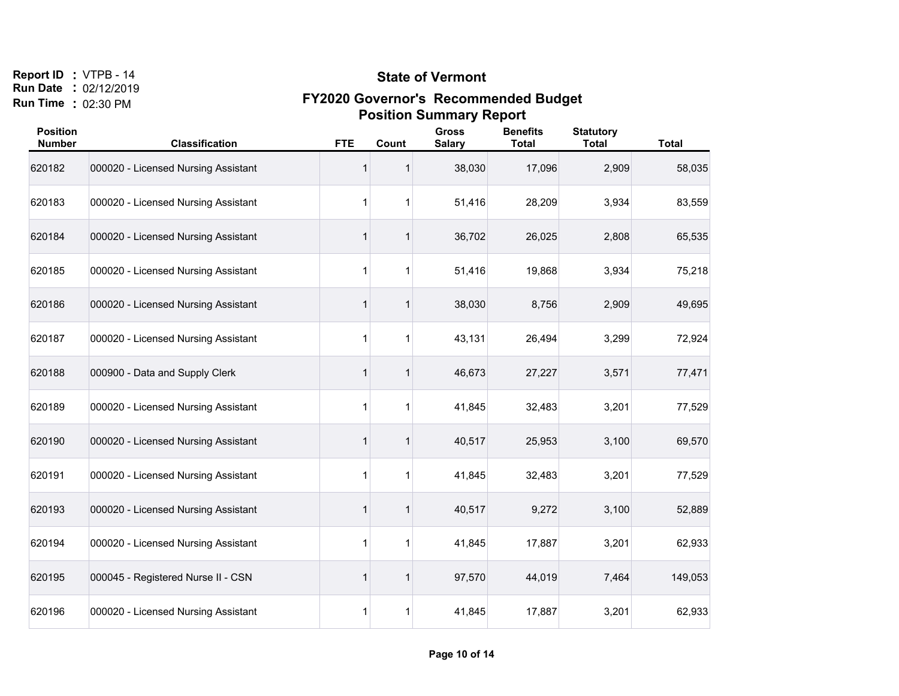#### **State of Vermont**

| <b>Position</b><br><b>Number</b> | <b>Classification</b>               | <b>FTE</b>   | Count       | <b>Gross</b><br><b>Salary</b> | <b>Benefits</b><br><b>Total</b> | <b>Statutory</b><br><b>Total</b> | <b>Total</b> |
|----------------------------------|-------------------------------------|--------------|-------------|-------------------------------|---------------------------------|----------------------------------|--------------|
| 620182                           | 000020 - Licensed Nursing Assistant | 1            |             | 38,030                        | 17,096                          | 2,909                            | 58,035       |
| 620183                           | 000020 - Licensed Nursing Assistant | $\mathbf{1}$ |             | 51,416                        | 28,209                          | 3,934                            | 83,559       |
| 620184                           | 000020 - Licensed Nursing Assistant | 1            |             | 36,702                        | 26,025                          | 2,808                            | 65,535       |
| 620185                           | 000020 - Licensed Nursing Assistant | 1            |             | 51,416                        | 19,868                          | 3,934                            | 75,218       |
| 620186                           | 000020 - Licensed Nursing Assistant | 1            |             | 38,030                        | 8,756                           | 2,909                            | 49,695       |
| 620187                           | 000020 - Licensed Nursing Assistant | 1            |             | 43,131                        | 26,494                          | 3,299                            | 72,924       |
| 620188                           | 000900 - Data and Supply Clerk      | 1            |             | 46,673                        | 27,227                          | 3,571                            | 77,471       |
| 620189                           | 000020 - Licensed Nursing Assistant | $\mathbf{1}$ | 1           | 41,845                        | 32,483                          | 3,201                            | 77,529       |
| 620190                           | 000020 - Licensed Nursing Assistant | 1            | 1           | 40,517                        | 25,953                          | 3,100                            | 69,570       |
| 620191                           | 000020 - Licensed Nursing Assistant | 1            | $\mathbf 1$ | 41,845                        | 32,483                          | 3,201                            | 77,529       |
| 620193                           | 000020 - Licensed Nursing Assistant | 1            |             | 40,517                        | 9,272                           | 3,100                            | 52,889       |
| 620194                           | 000020 - Licensed Nursing Assistant | 1            |             | 41,845                        | 17,887                          | 3,201                            | 62,933       |
| 620195                           | 000045 - Registered Nurse II - CSN  | 1            |             | 97,570                        | 44,019                          | 7,464                            | 149,053      |
| 620196                           | 000020 - Licensed Nursing Assistant | 1            | 1           | 41,845                        | 17,887                          | 3,201                            | 62,933       |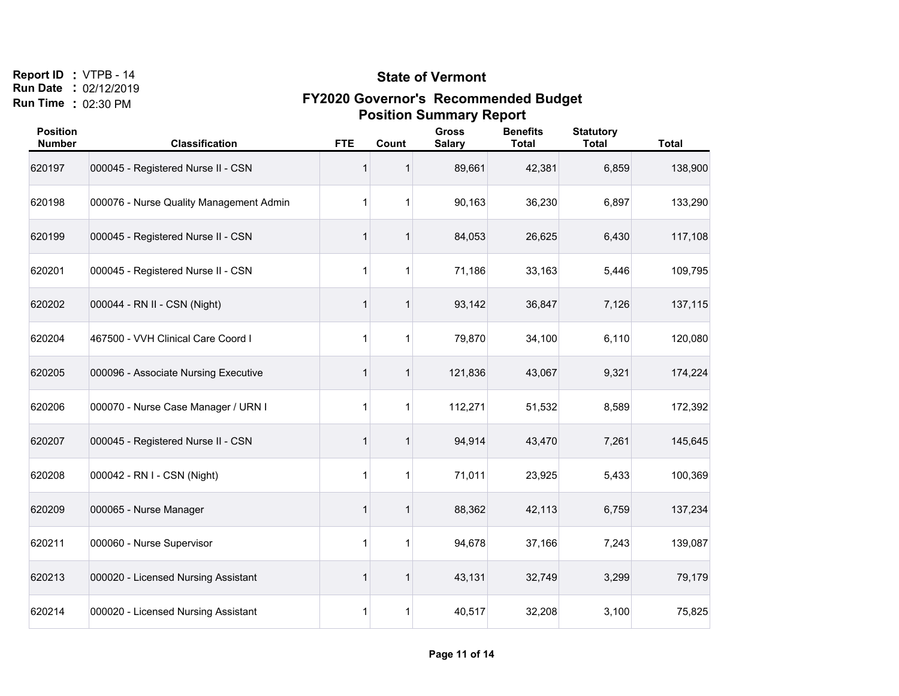#### **State of Vermont**

| <b>Position</b><br><b>Number</b> | <b>Classification</b>                   | <b>FTE</b>   | Count       | <b>Gross</b><br><b>Salary</b> | <b>Benefits</b><br><b>Total</b> | <b>Statutory</b><br><b>Total</b> | <b>Total</b> |
|----------------------------------|-----------------------------------------|--------------|-------------|-------------------------------|---------------------------------|----------------------------------|--------------|
| 620197                           | 000045 - Registered Nurse II - CSN      | 1            |             | 89,661                        | 42,381                          | 6,859                            | 138,900      |
| 620198                           | 000076 - Nurse Quality Management Admin | $\mathbf{1}$ | 1           | 90,163                        | 36,230                          | 6,897                            | 133,290      |
| 620199                           | 000045 - Registered Nurse II - CSN      | 1            |             | 84,053                        | 26,625                          | 6,430                            | 117,108      |
| 620201                           | 000045 - Registered Nurse II - CSN      | 1            | 1           | 71,186                        | 33,163                          | 5,446                            | 109,795      |
| 620202                           | 000044 - RN II - CSN (Night)            | 1            | 1           | 93,142                        | 36,847                          | 7,126                            | 137,115      |
| 620204                           | 467500 - VVH Clinical Care Coord I      | 1            |             | 79,870                        | 34,100                          | 6,110                            | 120,080      |
| 620205                           | 000096 - Associate Nursing Executive    | 1            | 1           | 121,836                       | 43,067                          | 9,321                            | 174,224      |
| 620206                           | 000070 - Nurse Case Manager / URN I     | 1            | 1           | 112,271                       | 51,532                          | 8,589                            | 172,392      |
| 620207                           | 000045 - Registered Nurse II - CSN      | 1            | 1           | 94,914                        | 43,470                          | 7,261                            | 145,645      |
| 620208                           | 000042 - RN I - CSN (Night)             | 1            | $\mathbf 1$ | 71,011                        | 23,925                          | 5,433                            | 100,369      |
| 620209                           | 000065 - Nurse Manager                  | 1            |             | 88,362                        | 42,113                          | 6,759                            | 137,234      |
| 620211                           | 000060 - Nurse Supervisor               | 1            | 1           | 94,678                        | 37,166                          | 7,243                            | 139,087      |
| 620213                           | 000020 - Licensed Nursing Assistant     | 1            | 1           | 43,131                        | 32,749                          | 3,299                            | 79,179       |
| 620214                           | 000020 - Licensed Nursing Assistant     | 1            | 1           | 40,517                        | 32,208                          | 3,100                            | 75,825       |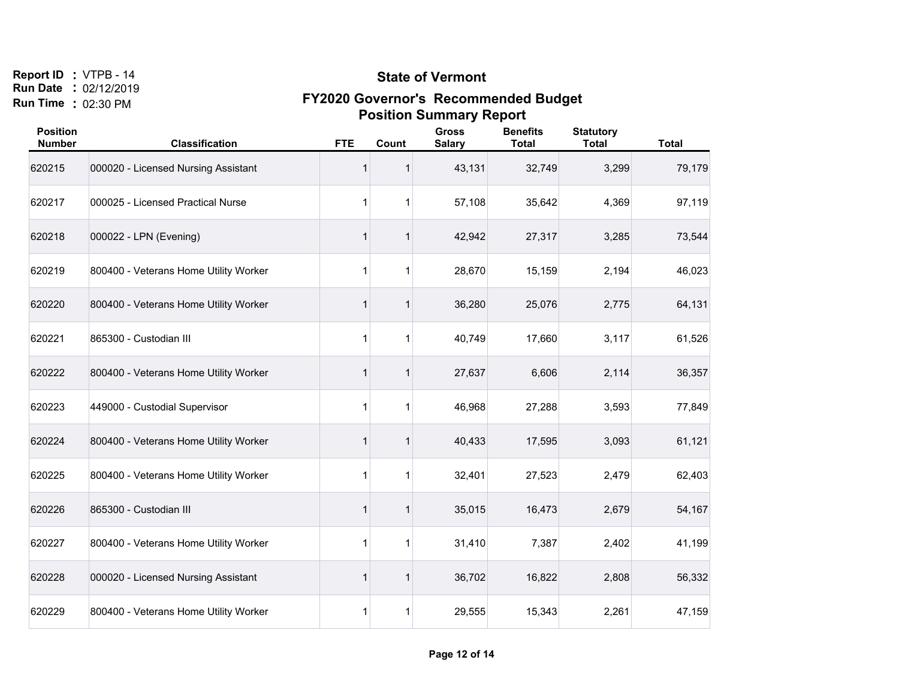#### **State of Vermont**

| <b>Position</b><br><b>Number</b> | <b>Classification</b>                 | <b>FTE</b>   | Count        | <b>Gross</b><br><b>Salary</b> | <b>Benefits</b><br><b>Total</b> | <b>Statutory</b><br><b>Total</b> | <b>Total</b> |
|----------------------------------|---------------------------------------|--------------|--------------|-------------------------------|---------------------------------|----------------------------------|--------------|
| 620215                           | 000020 - Licensed Nursing Assistant   | 1            |              | 43,131                        | 32,749                          | 3,299                            | 79,179       |
| 620217                           | 000025 - Licensed Practical Nurse     | $\mathbf{1}$ |              | 57,108                        | 35,642                          | 4,369                            | 97,119       |
| 620218                           | 000022 - LPN (Evening)                | 1            |              | 42,942                        | 27,317                          | 3,285                            | 73,544       |
| 620219                           | 800400 - Veterans Home Utility Worker | 1            |              | 28,670                        | 15,159                          | 2,194                            | 46,023       |
| 620220                           | 800400 - Veterans Home Utility Worker | 1            |              | 36,280                        | 25,076                          | 2,775                            | 64,131       |
| 620221                           | 865300 - Custodian III                | $\mathbf{1}$ |              | 40,749                        | 17,660                          | 3,117                            | 61,526       |
| 620222                           | 800400 - Veterans Home Utility Worker | 1            |              | 27,637                        | 6,606                           | 2,114                            | 36,357       |
| 620223                           | 449000 - Custodial Supervisor         | 1            |              | 46,968                        | 27,288                          | 3,593                            | 77,849       |
| 620224                           | 800400 - Veterans Home Utility Worker | 1            |              | 40,433                        | 17,595                          | 3,093                            | 61,121       |
| 620225                           | 800400 - Veterans Home Utility Worker | $\mathbf{1}$ | $\mathbf{1}$ | 32,401                        | 27,523                          | 2,479                            | 62,403       |
| 620226                           | 865300 - Custodian III                | 1            |              | 35,015                        | 16,473                          | 2,679                            | 54,167       |
| 620227                           | 800400 - Veterans Home Utility Worker | $\mathbf{1}$ | $\mathbf 1$  | 31,410                        | 7,387                           | 2,402                            | 41,199       |
| 620228                           | 000020 - Licensed Nursing Assistant   | 1            |              | 36,702                        | 16,822                          | 2,808                            | 56,332       |
| 620229                           | 800400 - Veterans Home Utility Worker | 1            | 1            | 29,555                        | 15,343                          | 2,261                            | 47,159       |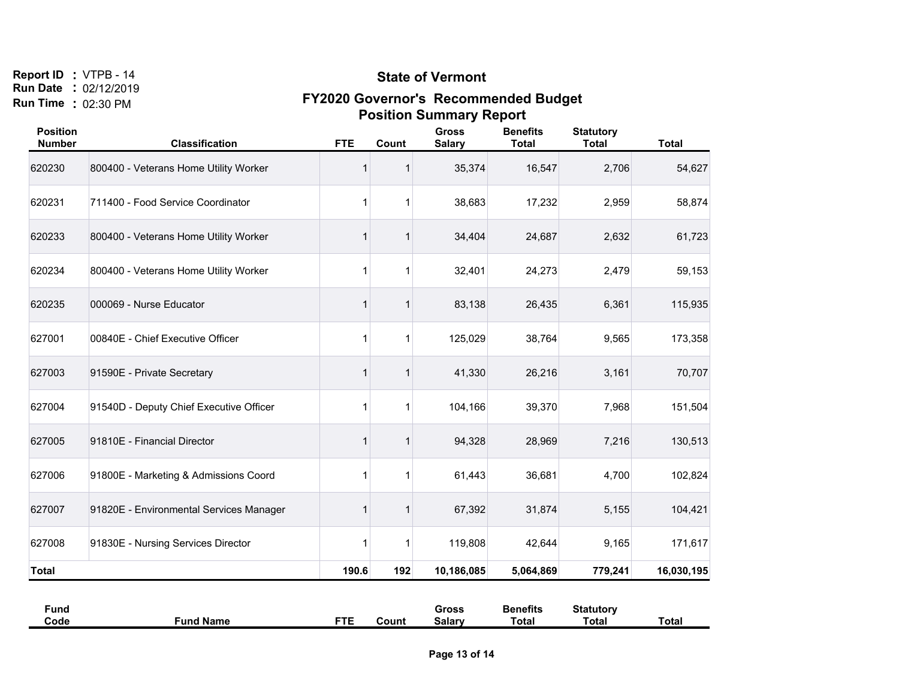#### **State of Vermont**

| <b>Position</b><br><b>Number</b> | <b>Classification</b>                   | <b>FTE</b> | Count | <b>Gross</b><br><b>Salary</b> | <b>Benefits</b><br><b>Total</b> | <b>Statutory</b><br><b>Total</b> | <b>Total</b> |
|----------------------------------|-----------------------------------------|------------|-------|-------------------------------|---------------------------------|----------------------------------|--------------|
| 620230                           | 800400 - Veterans Home Utility Worker   |            |       | 35,374                        | 16,547                          | 2,706                            | 54,627       |
| 620231                           | 711400 - Food Service Coordinator       | 1          |       | 38,683                        | 17,232                          | 2,959                            | 58,874       |
| 620233                           | 800400 - Veterans Home Utility Worker   | 1          |       | 34,404                        | 24,687                          | 2,632                            | 61,723       |
| 620234                           | 800400 - Veterans Home Utility Worker   | 1          |       | 32,401                        | 24,273                          | 2,479                            | 59,153       |
| 620235                           | 000069 - Nurse Educator                 | 1          | 1     | 83,138                        | 26,435                          | 6,361                            | 115,935      |
| 627001                           | 00840E - Chief Executive Officer        | 1          | 1     | 125,029                       | 38,764                          | 9,565                            | 173,358      |
| 627003                           | 91590E - Private Secretary              | 1          |       | 41,330                        | 26,216                          | 3,161                            | 70,707       |
| 627004                           | 91540D - Deputy Chief Executive Officer | 1          |       | 104,166                       | 39,370                          | 7,968                            | 151,504      |
| 627005                           | 91810E - Financial Director             | 1          |       | 94,328                        | 28,969                          | 7,216                            | 130,513      |
| 627006                           | 91800E - Marketing & Admissions Coord   | 1          | 1     | 61,443                        | 36,681                          | 4,700                            | 102,824      |
| 627007                           | 91820E - Environmental Services Manager | 1          | 1     | 67,392                        | 31,874                          | 5,155                            | 104,421      |
| 627008                           | 91830E - Nursing Services Director      | 1          |       | 119,808                       | 42,644                          | 9,165                            | 171,617      |
| <b>Total</b>                     |                                         | 190.6      | 192   | 10,186,085                    | 5,064,869                       | 779,241                          | 16,030,195   |

| ∙̃und |                |            |       | Gross         | Benefits | <b>Statutory</b> |       |
|-------|----------------|------------|-------|---------------|----------|------------------|-------|
| Code  | ' Name<br>∙und | <b>STE</b> | Count | <b>Salary</b> | Totai    | Total            | Total |